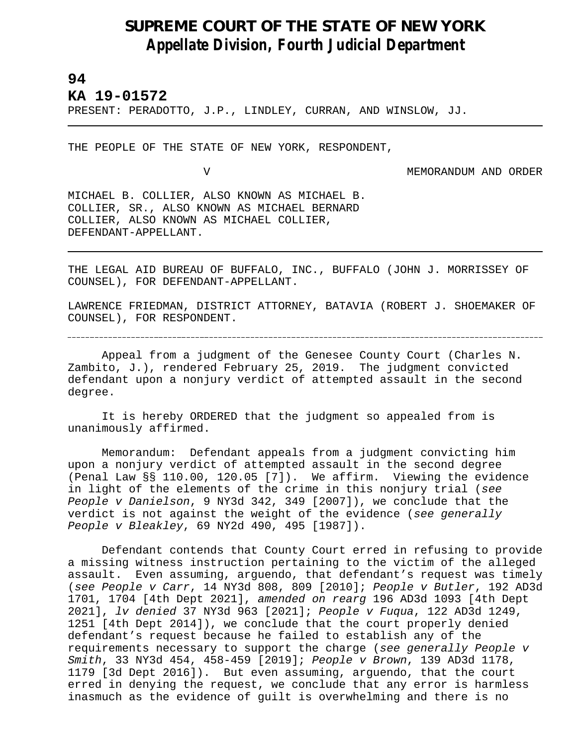## **SUPREME COURT OF THE STATE OF NEW YORK** *Appellate Division, Fourth Judicial Department*

## **94**

L

## **KA 19-01572**

PRESENT: PERADOTTO, J.P., LINDLEY, CURRAN, AND WINSLOW, JJ.

THE PEOPLE OF THE STATE OF NEW YORK, RESPONDENT,

V MEMORANDUM AND ORDER

MICHAEL B. COLLIER, ALSO KNOWN AS MICHAEL B. COLLIER, SR., ALSO KNOWN AS MICHAEL BERNARD COLLIER, ALSO KNOWN AS MICHAEL COLLIER, DEFENDANT-APPELLANT.

THE LEGAL AID BUREAU OF BUFFALO, INC., BUFFALO (JOHN J. MORRISSEY OF COUNSEL), FOR DEFENDANT-APPELLANT.

LAWRENCE FRIEDMAN, DISTRICT ATTORNEY, BATAVIA (ROBERT J. SHOEMAKER OF COUNSEL), FOR RESPONDENT.

Appeal from a judgment of the Genesee County Court (Charles N. Zambito, J.), rendered February 25, 2019. The judgment convicted defendant upon a nonjury verdict of attempted assault in the second degree.

It is hereby ORDERED that the judgment so appealed from is unanimously affirmed.

Memorandum: Defendant appeals from a judgment convicting him upon a nonjury verdict of attempted assault in the second degree (Penal Law §§ 110.00, 120.05 [7]). We affirm. Viewing the evidence in light of the elements of the crime in this nonjury trial (*see People v Danielson*, 9 NY3d 342, 349 [2007]), we conclude that the verdict is not against the weight of the evidence (*see generally People v Bleakley*, 69 NY2d 490, 495 [1987]).

Defendant contends that County Court erred in refusing to provide a missing witness instruction pertaining to the victim of the alleged assault. Even assuming, arguendo, that defendant's request was timely (*see People v Carr*, 14 NY3d 808, 809 [2010]; *People v Butler*, 192 AD3d 1701, 1704 [4th Dept 2021], *amended on rearg* 196 AD3d 1093 [4th Dept 2021], *lv denied* 37 NY3d 963 [2021]; *People v Fuqua*, 122 AD3d 1249, 1251 [4th Dept 2014]), we conclude that the court properly denied defendant's request because he failed to establish any of the requirements necessary to support the charge (*see generally People v Smith*, 33 NY3d 454, 458-459 [2019]; *People v Brown*, 139 AD3d 1178, 1179 [3d Dept 2016]). But even assuming, arguendo, that the court erred in denying the request, we conclude that any error is harmless inasmuch as the evidence of guilt is overwhelming and there is no